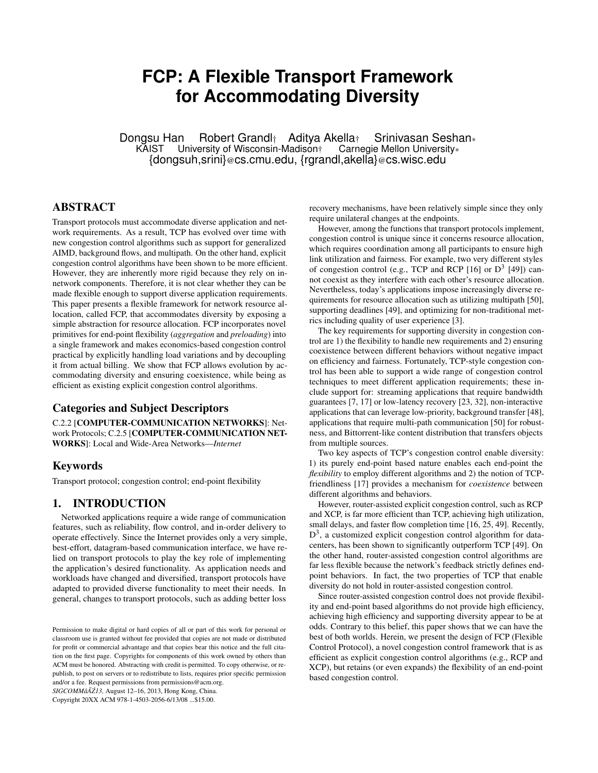# **FCP: A Flexible Transport Framework for Accommodating Diversity**

Dongsu Han Robert Grandl<sup>†</sup> Aditya Akella† Srinivasan Seshan<sub>\*</sub><br>KAIST University of Wisconsin-Madison† Carnegie Mellon University∗ University of Wisconsin-Madison† {dongsuh,srini}@cs.cmu.edu, {rgrandl,akella}@cs.wisc.edu

# ABSTRACT

Transport protocols must accommodate diverse application and network requirements. As a result, TCP has evolved over time with new congestion control algorithms such as support for generalized AIMD, background flows, and multipath. On the other hand, explicit congestion control algorithms have been shown to be more efficient. However, they are inherently more rigid because they rely on innetwork components. Therefore, it is not clear whether they can be made flexible enough to support diverse application requirements. This paper presents a flexible framework for network resource allocation, called FCP, that accommodates diversity by exposing a simple abstraction for resource allocation. FCP incorporates novel primitives for end-point flexibility (*aggregation* and *preloading*) into a single framework and makes economics-based congestion control practical by explicitly handling load variations and by decoupling it from actual billing. We show that FCP allows evolution by accommodating diversity and ensuring coexistence, while being as efficient as existing explicit congestion control algorithms.

# Categories and Subject Descriptors

C.2.2 [COMPUTER-COMMUNICATION NETWORKS]: Network Protocols; C.2.5 [COMPUTER-COMMUNICATION NET-WORKS]: Local and Wide-Area Networks—*Internet*

# Keywords

Transport protocol; congestion control; end-point flexibility

### 1. INTRODUCTION

Networked applications require a wide range of communication features, such as reliability, flow control, and in-order delivery to operate effectively. Since the Internet provides only a very simple, best-effort, datagram-based communication interface, we have relied on transport protocols to play the key role of implementing the application's desired functionality. As application needs and workloads have changed and diversified, transport protocols have adapted to provided diverse functionality to meet their needs. In general, changes to transport protocols, such as adding better loss

*SIGCOMMâA˘Z13, ´* August 12–16, 2013, Hong Kong, China.

Copyright 20XX ACM 978-1-4503-2056-6/13/08 ...\$15.00.

recovery mechanisms, have been relatively simple since they only require unilateral changes at the endpoints.

However, among the functions that transport protocols implement, congestion control is unique since it concerns resource allocation, which requires coordination among all participants to ensure high link utilization and fairness. For example, two very different styles of congestion control (e.g., TCP and RCP [16] or  $D^3$  [49]) cannot coexist as they interfere with each other's resource allocation. Nevertheless, today's applications impose increasingly diverse requirements for resource allocation such as utilizing multipath [50], supporting deadlines [49], and optimizing for non-traditional metrics including quality of user experience [3].

The key requirements for supporting diversity in congestion control are 1) the flexibility to handle new requirements and 2) ensuring coexistence between different behaviors without negative impact on efficiency and fairness. Fortunately, TCP-style congestion control has been able to support a wide range of congestion control techniques to meet different application requirements; these include support for: streaming applications that require bandwidth guarantees [7, 17] or low-latency recovery [23, 32], non-interactive applications that can leverage low-priority, background transfer [48], applications that require multi-path communication [50] for robustness, and Bittorrent-like content distribution that transfers objects from multiple sources.

Two key aspects of TCP's congestion control enable diversity: 1) its purely end-point based nature enables each end-point the *flexibility* to employ different algorithms and 2) the notion of TCPfriendliness [17] provides a mechanism for *coexistence* between different algorithms and behaviors.

However, router-assisted explicit congestion control, such as RCP and XCP, is far more efficient than TCP, achieving high utilization, small delays, and faster flow completion time [16, 25, 49]. Recently,  $D<sup>3</sup>$ , a customized explicit congestion control algorithm for datacenters, has been shown to significantly outperform TCP [49]. On the other hand, router-assisted congestion control algorithms are far less flexible because the network's feedback strictly defines endpoint behaviors. In fact, the two properties of TCP that enable diversity do not hold in router-assisted congestion control.

Since router-assisted congestion control does not provide flexibility and end-point based algorithms do not provide high efficiency, achieving high efficiency and supporting diversity appear to be at odds. Contrary to this belief, this paper shows that we can have the best of both worlds. Herein, we present the design of FCP (Flexible Control Protocol), a novel congestion control framework that is as efficient as explicit congestion control algorithms (e.g., RCP and XCP), but retains (or even expands) the flexibility of an end-point based congestion control.

Permission to make digital or hard copies of all or part of this work for personal or classroom use is granted without fee provided that copies are not made or distributed for profit or commercial advantage and that copies bear this notice and the full citation on the first page. Copyrights for components of this work owned by others than ACM must be honored. Abstracting with credit is permitted. To copy otherwise, or republish, to post on servers or to redistribute to lists, requires prior specific permission and/or a fee. Request permissions from permissions@acm.org.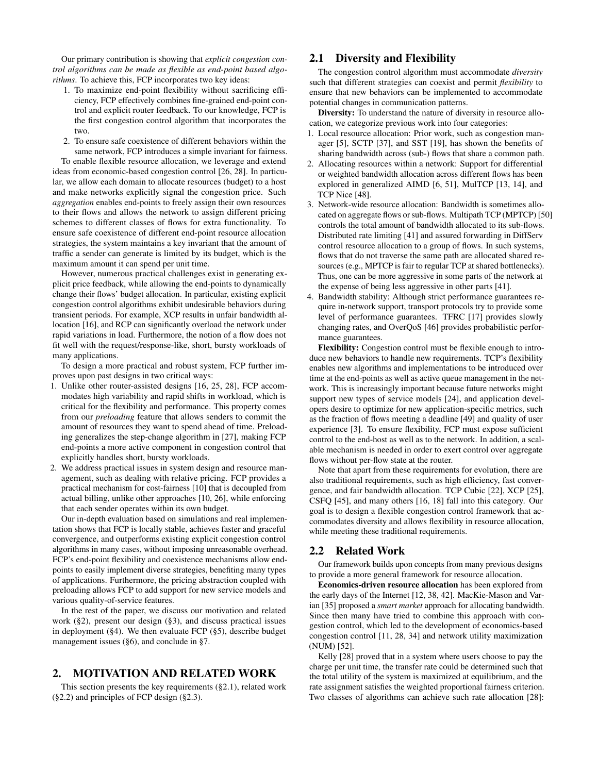Our primary contribution is showing that *explicit congestion control algorithms can be made as flexible as end-point based algorithms*. To achieve this, FCP incorporates two key ideas:

- 1. To maximize end-point flexibility without sacrificing efficiency, FCP effectively combines fine-grained end-point control and explicit router feedback. To our knowledge, FCP is the first congestion control algorithm that incorporates the two.
- 2. To ensure safe coexistence of different behaviors within the same network, FCP introduces a simple invariant for fairness.

To enable flexible resource allocation, we leverage and extend ideas from economic-based congestion control [26, 28]. In particular, we allow each domain to allocate resources (budget) to a host and make networks explicitly signal the congestion price. Such *aggregation* enables end-points to freely assign their own resources to their flows and allows the network to assign different pricing schemes to different classes of flows for extra functionality. To ensure safe coexistence of different end-point resource allocation strategies, the system maintains a key invariant that the amount of traffic a sender can generate is limited by its budget, which is the maximum amount it can spend per unit time.

However, numerous practical challenges exist in generating explicit price feedback, while allowing the end-points to dynamically change their flows' budget allocation. In particular, existing explicit congestion control algorithms exhibit undesirable behaviors during transient periods. For example, XCP results in unfair bandwidth allocation [16], and RCP can significantly overload the network under rapid variations in load. Furthermore, the notion of a flow does not fit well with the request/response-like, short, bursty workloads of many applications.

To design a more practical and robust system, FCP further improves upon past designs in two critical ways:

- 1. Unlike other router-assisted designs [16, 25, 28], FCP accommodates high variability and rapid shifts in workload, which is critical for the flexibility and performance. This property comes from our *preloading* feature that allows senders to commit the amount of resources they want to spend ahead of time. Preloading generalizes the step-change algorithm in [27], making FCP end-points a more active component in congestion control that explicitly handles short, bursty workloads.
- 2. We address practical issues in system design and resource management, such as dealing with relative pricing. FCP provides a practical mechanism for cost-fairness [10] that is decoupled from actual billing, unlike other approaches [10, 26], while enforcing that each sender operates within its own budget.

Our in-depth evaluation based on simulations and real implementation shows that FCP is locally stable, achieves faster and graceful convergence, and outperforms existing explicit congestion control algorithms in many cases, without imposing unreasonable overhead. FCP's end-point flexibility and coexistence mechanisms allow endpoints to easily implement diverse strategies, benefiting many types of applications. Furthermore, the pricing abstraction coupled with preloading allows FCP to add support for new service models and various quality-of-service features.

In the rest of the paper, we discuss our motivation and related work (§2), present our design (§3), and discuss practical issues in deployment  $(\S 4)$ . We then evaluate FCP  $(\S 5)$ , describe budget management issues (§6), and conclude in §7.

### 2. MOTIVATION AND RELATED WORK

This section presents the key requirements  $(\S 2.1)$ , related work (§2.2) and principles of FCP design (§2.3).

# 2.1 Diversity and Flexibility

The congestion control algorithm must accommodate *diversity* such that different strategies can coexist and permit *flexibility* to ensure that new behaviors can be implemented to accommodate potential changes in communication patterns.

Diversity: To understand the nature of diversity in resource allocation, we categorize previous work into four categories:

- 1. Local resource allocation: Prior work, such as congestion manager [5], SCTP [37], and SST [19], has shown the benefits of sharing bandwidth across (sub-) flows that share a common path.
- 2. Allocating resources within a network: Support for differential or weighted bandwidth allocation across different flows has been explored in generalized AIMD [6, 51], MulTCP [13, 14], and TCP Nice [48].
- 3. Network-wide resource allocation: Bandwidth is sometimes allocated on aggregate flows or sub-flows. Multipath TCP (MPTCP) [50] controls the total amount of bandwidth allocated to its sub-flows. Distributed rate limiting [41] and assured forwarding in DiffServ control resource allocation to a group of flows. In such systems, flows that do not traverse the same path are allocated shared resources (e.g., MPTCP is fair to regular TCP at shared bottlenecks). Thus, one can be more aggressive in some parts of the network at the expense of being less aggressive in other parts [41].
- 4. Bandwidth stability: Although strict performance guarantees require in-network support, transport protocols try to provide some level of performance guarantees. TFRC [17] provides slowly changing rates, and OverQoS [46] provides probabilistic performance guarantees.

Flexibility: Congestion control must be flexible enough to introduce new behaviors to handle new requirements. TCP's flexibility enables new algorithms and implementations to be introduced over time at the end-points as well as active queue management in the network. This is increasingly important because future networks might support new types of service models [24], and application developers desire to optimize for new application-specific metrics, such as the fraction of flows meeting a deadline [49] and quality of user experience [3]. To ensure flexibility, FCP must expose sufficient control to the end-host as well as to the network. In addition, a scalable mechanism is needed in order to exert control over aggregate flows without per-flow state at the router.

Note that apart from these requirements for evolution, there are also traditional requirements, such as high efficiency, fast convergence, and fair bandwidth allocation. TCP Cubic [22], XCP [25], CSFQ [45], and many others [16, 18] fall into this category. Our goal is to design a flexible congestion control framework that accommodates diversity and allows flexibility in resource allocation, while meeting these traditional requirements.

### 2.2 Related Work

Our framework builds upon concepts from many previous designs to provide a more general framework for resource allocation.

Economics-driven resource allocation has been explored from the early days of the Internet [12, 38, 42]. MacKie-Mason and Varian [35] proposed a *smart market* approach for allocating bandwidth. Since then many have tried to combine this approach with congestion control, which led to the development of economics-based congestion control [11, 28, 34] and network utility maximization (NUM) [52].

Kelly [28] proved that in a system where users choose to pay the charge per unit time, the transfer rate could be determined such that the total utility of the system is maximized at equilibrium, and the rate assignment satisfies the weighted proportional fairness criterion. Two classes of algorithms can achieve such rate allocation [28]: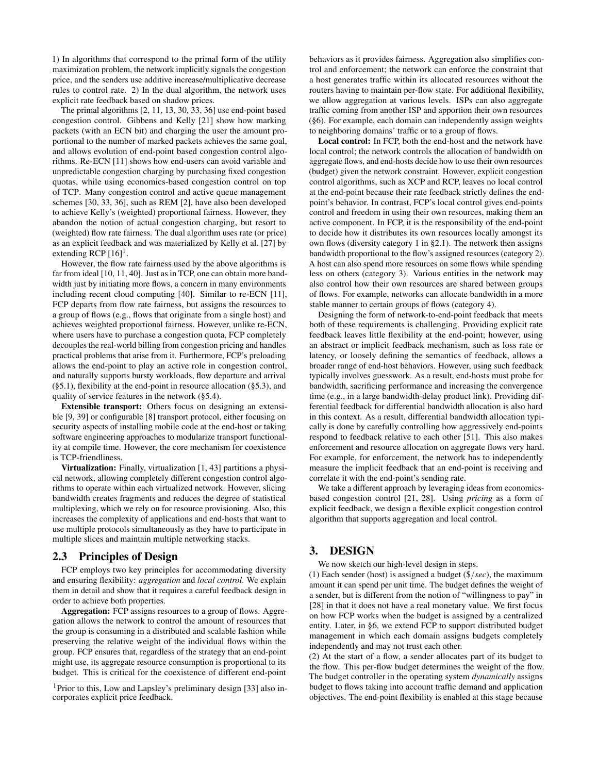1) In algorithms that correspond to the primal form of the utility maximization problem, the network implicitly signals the congestion price, and the senders use additive increase/multiplicative decrease rules to control rate. 2) In the dual algorithm, the network uses explicit rate feedback based on shadow prices.

The primal algorithms [2, 11, 13, 30, 33, 36] use end-point based congestion control. Gibbens and Kelly [21] show how marking packets (with an ECN bit) and charging the user the amount proportional to the number of marked packets achieves the same goal, and allows evolution of end-point based congestion control algorithms. Re-ECN [11] shows how end-users can avoid variable and unpredictable congestion charging by purchasing fixed congestion quotas, while using economics-based congestion control on top of TCP. Many congestion control and active queue management schemes [30, 33, 36], such as REM [2], have also been developed to achieve Kelly's (weighted) proportional fairness. However, they abandon the notion of actual congestion charging, but resort to (weighted) flow rate fairness. The dual algorithm uses rate (or price) as an explicit feedback and was materialized by Kelly et al. [27] by extending RCP  $[16]$ <sup>1</sup>.

However, the flow rate fairness used by the above algorithms is far from ideal [10, 11, 40]. Just as in TCP, one can obtain more bandwidth just by initiating more flows, a concern in many environments including recent cloud computing [40]. Similar to re-ECN [11], FCP departs from flow rate fairness, but assigns the resources to a group of flows (e.g., flows that originate from a single host) and achieves weighted proportional fairness. However, unlike re-ECN, where users have to purchase a congestion quota, FCP completely decouples the real-world billing from congestion pricing and handles practical problems that arise from it. Furthermore, FCP's preloading allows the end-point to play an active role in congestion control, and naturally supports bursty workloads, flow departure and arrival (§5.1), flexibility at the end-point in resource allocation (§5.3), and quality of service features in the network (§5.4).

Extensible transport: Others focus on designing an extensible [9, 39] or configurable [8] transport protocol, either focusing on security aspects of installing mobile code at the end-host or taking software engineering approaches to modularize transport functionality at compile time. However, the core mechanism for coexistence is TCP-friendliness.

Virtualization: Finally, virtualization [1, 43] partitions a physical network, allowing completely different congestion control algorithms to operate within each virtualized network. However, slicing bandwidth creates fragments and reduces the degree of statistical multiplexing, which we rely on for resource provisioning. Also, this increases the complexity of applications and end-hosts that want to use multiple protocols simultaneously as they have to participate in multiple slices and maintain multiple networking stacks.

### 2.3 Principles of Design

FCP employs two key principles for accommodating diversity and ensuring flexibility: *aggregation* and *local control*. We explain them in detail and show that it requires a careful feedback design in order to achieve both properties.

Aggregation: FCP assigns resources to a group of flows. Aggregation allows the network to control the amount of resources that the group is consuming in a distributed and scalable fashion while preserving the relative weight of the individual flows within the group. FCP ensures that, regardless of the strategy that an end-point might use, its aggregate resource consumption is proportional to its budget. This is critical for the coexistence of different end-point

behaviors as it provides fairness. Aggregation also simplifies control and enforcement; the network can enforce the constraint that a host generates traffic within its allocated resources without the routers having to maintain per-flow state. For additional flexibility, we allow aggregation at various levels. ISPs can also aggregate traffic coming from another ISP and apportion their own resources (§6). For example, each domain can independently assign weights to neighboring domains' traffic or to a group of flows.

Local control: In FCP, both the end-host and the network have local control; the network controls the allocation of bandwidth on aggregate flows, and end-hosts decide how to use their own resources (budget) given the network constraint. However, explicit congestion control algorithms, such as XCP and RCP, leaves no local control at the end-point because their rate feedback strictly defines the endpoint's behavior. In contrast, FCP's local control gives end-points control and freedom in using their own resources, making them an active component. In FCP, it is the responsibility of the end-point to decide how it distributes its own resources locally amongst its own flows (diversity category 1 in §2.1). The network then assigns bandwidth proportional to the flow's assigned resources (category 2). A host can also spend more resources on some flows while spending less on others (category 3). Various entities in the network may also control how their own resources are shared between groups of flows. For example, networks can allocate bandwidth in a more stable manner to certain groups of flows (category 4).

Designing the form of network-to-end-point feedback that meets both of these requirements is challenging. Providing explicit rate feedback leaves little flexibility at the end-point; however, using an abstract or implicit feedback mechanism, such as loss rate or latency, or loosely defining the semantics of feedback, allows a broader range of end-host behaviors. However, using such feedback typically involves guesswork. As a result, end-hosts must probe for bandwidth, sacrificing performance and increasing the convergence time (e.g., in a large bandwidth-delay product link). Providing differential feedback for differential bandwidth allocation is also hard in this context. As a result, differential bandwidth allocation typically is done by carefully controlling how aggressively end-points respond to feedback relative to each other [51]. This also makes enforcement and resource allocation on aggregate flows very hard. For example, for enforcement, the network has to independently measure the implicit feedback that an end-point is receiving and correlate it with the end-point's sending rate.

We take a different approach by leveraging ideas from economicsbased congestion control [21, 28]. Using *pricing* as a form of explicit feedback, we design a flexible explicit congestion control algorithm that supports aggregation and local control.

### 3. DESIGN

We now sketch our high-level design in steps.

(1) Each sender (host) is assigned a budget (\$*/sec*), the maximum amount it can spend per unit time. The budget defines the weight of a sender, but is different from the notion of "willingness to pay" in [28] in that it does not have a real monetary value. We first focus on how FCP works when the budget is assigned by a centralized entity. Later, in §6, we extend FCP to support distributed budget management in which each domain assigns budgets completely independently and may not trust each other.

(2) At the start of a flow, a sender allocates part of its budget to the flow. This per-flow budget determines the weight of the flow. The budget controller in the operating system *dynamically* assigns budget to flows taking into account traffic demand and application objectives. The end-point flexibility is enabled at this stage because

<sup>1</sup>Prior to this, Low and Lapsley's preliminary design [33] also incorporates explicit price feedback.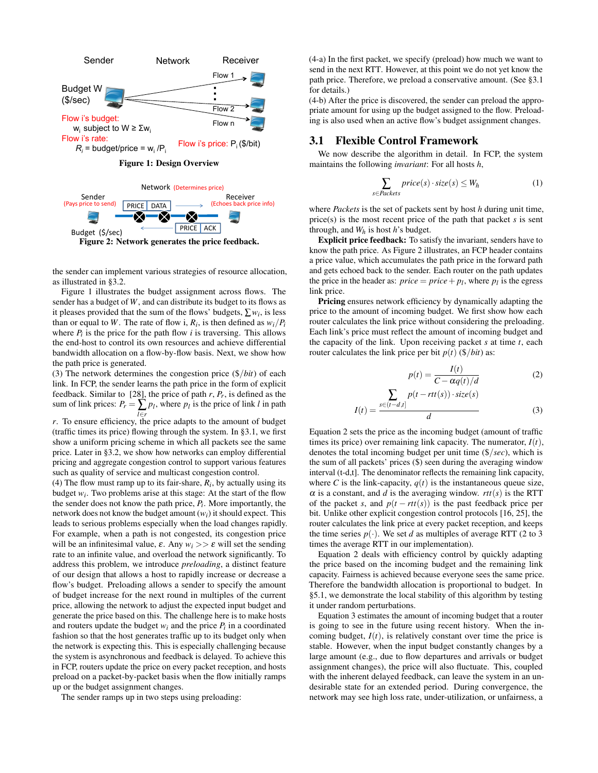



the sender can implement various strategies of resource allocation, as illustrated in §3.2.

Figure 1 illustrates the budget assignment across flows. The sender has a budget of *W*, and can distribute its budget to its flows as it pleases provided that the sum of the flows' budgets,  $\sum w_i$ , is less than or equal to *W*. The rate of flow i,  $R_i$ , is then defined as  $w_i/P_i$ where  $P_i$  is the price for the path flow  $i$  is traversing. This allows the end-host to control its own resources and achieve differential bandwidth allocation on a flow-by-flow basis. Next, we show how the path price is generated.

(3) The network determines the congestion price (\$*/bit*) of each link. In FCP, the sender learns the path price in the form of explicit feedback. Similar to [28], the price of path *r*, *Pr*, is defined as the sum of link prices:  $P_r = \sum p_l$ , where  $p_l$  is the price of link *l* in path

*l*<sup>2</sup>*r*. To ensure efficiency, the price adapts to the amount of budget (traffic times its price) flowing through the system. In §3.1, we first show a uniform pricing scheme in which all packets see the same price. Later in §3.2, we show how networks can employ differential pricing and aggregate congestion control to support various features such as quality of service and multicast congestion control.

(4) The flow must ramp up to its fair-share,  $R_i$ , by actually using its budget  $w_i$ . Two problems arise at this stage: At the start of the flow the sender does not know the path price,  $P_i$ . More importantly, the network does not know the budget amount (*wi*) it should expect. This leads to serious problems especially when the load changes rapidly. For example, when a path is not congested, its congestion price will be an infinitesimal value,  $\varepsilon$ . Any  $w_i >> \varepsilon$  will set the sending rate to an infinite value, and overload the network significantly. To address this problem, we introduce *preloading*, a distinct feature of our design that allows a host to rapidly increase or decrease a flow's budget. Preloading allows a sender to specify the amount of budget increase for the next round in multiples of the current price, allowing the network to adjust the expected input budget and generate the price based on this. The challenge here is to make hosts and routers update the budget  $w_i$  and the price  $P_i$  in a coordinated fashion so that the host generates traffic up to its budget only when the network is expecting this. This is especially challenging because the system is asynchronous and feedback is delayed. To achieve this in FCP, routers update the price on every packet reception, and hosts preload on a packet-by-packet basis when the flow initially ramps up or the budget assignment changes.

The sender ramps up in two steps using preloading:

(4-a) In the first packet, we specify (preload) how much we want to send in the next RTT. However, at this point we do not yet know the path price. Therefore, we preload a conservative amount. (See §3.1 for details.)

(4-b) After the price is discovered, the sender can preload the appropriate amount for using up the budget assigned to the flow. Preloading is also used when an active flow's budget assignment changes.

### 3.1 Flexible Control Framework

We now describe the algorithm in detail. In FCP, the system maintains the following *invariant*: For all hosts *h*,

$$
\sum_{s \in Packets} price(s) \cdot size(s) \le W_h
$$
 (1)

where *Packets* is the set of packets sent by host *h* during unit time, price(s) is the most recent price of the path that packet *s* is sent through, and *Wh* is host *h*'s budget.

Explicit price feedback: To satisfy the invariant, senders have to know the path price. As Figure 2 illustrates, an FCP header contains a price value, which accumulates the path price in the forward path and gets echoed back to the sender. Each router on the path updates the price in the header as:  $price = price + p_l$ , where  $p_l$  is the egress link price.

Pricing ensures network efficiency by dynamically adapting the price to the amount of incoming budget. We first show how each router calculates the link price without considering the preloading. Each link's price must reflect the amount of incoming budget and the capacity of the link. Upon receiving packet *s* at time *t*, each router calculates the link price per bit  $p(t)$  (\$/*bit*) as:

$$
p(t) = \frac{I(t)}{C - \alpha q(t)/d}
$$
 (2)

$$
I(t) = \frac{\sum_{s \in (t-d,t]} p(t - rtt(s)) \cdot size(s)}{d}
$$
(3)

Equation 2 sets the price as the incoming budget (amount of traffic times its price) over remaining link capacity. The numerator, *I*(*t*), denotes the total incoming budget per unit time (\$*/sec*), which is the sum of all packets' prices (\$) seen during the averaging window interval (t-d,t]. The denominator reflects the remaining link capacity, where *C* is the link-capacity,  $q(t)$  is the instantaneous queue size,  $\alpha$  is a constant, and *d* is the averaging window. *rtt*(*s*) is the RTT of the packet *s*, and  $p(t - rtt(s))$  is the past feedback price per bit. Unlike other explicit congestion control protocols [16, 25], the router calculates the link price at every packet reception, and keeps the time series  $p(\cdot)$ . We set *d* as multiples of average RTT (2 to 3) times the average RTT in our implementation).

Equation 2 deals with efficiency control by quickly adapting the price based on the incoming budget and the remaining link capacity. Fairness is achieved because everyone sees the same price. Therefore the bandwidth allocation is proportional to budget. In §5.1, we demonstrate the local stability of this algorithm by testing it under random perturbations.

Equation 3 estimates the amount of incoming budget that a router is going to see in the future using recent history. When the incoming budget,  $I(t)$ , is relatively constant over time the price is stable. However, when the input budget constantly changes by a large amount (e.g., due to flow departures and arrivals or budget assignment changes), the price will also fluctuate. This, coupled with the inherent delayed feedback, can leave the system in an undesirable state for an extended period. During convergence, the network may see high loss rate, under-utilization, or unfairness, a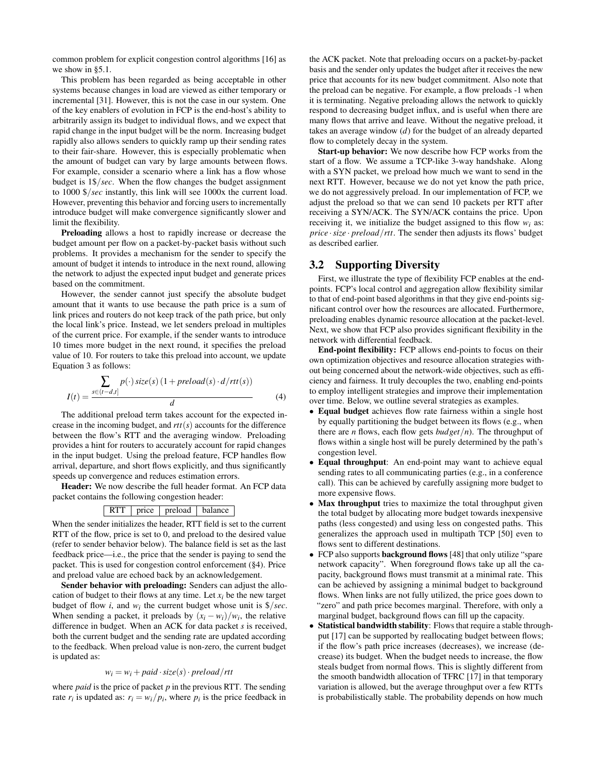common problem for explicit congestion control algorithms [16] as we show in §5.1.

This problem has been regarded as being acceptable in other systems because changes in load are viewed as either temporary or incremental [31]. However, this is not the case in our system. One of the key enablers of evolution in FCP is the end-host's ability to arbitrarily assign its budget to individual flows, and we expect that rapid change in the input budget will be the norm. Increasing budget rapidly also allows senders to quickly ramp up their sending rates to their fair-share. However, this is especially problematic when the amount of budget can vary by large amounts between flows. For example, consider a scenario where a link has a flow whose budget is 1\$*/sec*. When the flow changes the budget assignment to 1000 \$*/sec* instantly, this link will see 1000x the current load. However, preventing this behavior and forcing users to incrementally introduce budget will make convergence significantly slower and limit the flexibility.

Preloading allows a host to rapidly increase or decrease the budget amount per flow on a packet-by-packet basis without such problems. It provides a mechanism for the sender to specify the amount of budget it intends to introduce in the next round, allowing the network to adjust the expected input budget and generate prices based on the commitment.

However, the sender cannot just specify the absolute budget amount that it wants to use because the path price is a sum of link prices and routers do not keep track of the path price, but only the local link's price. Instead, we let senders preload in multiples of the current price. For example, if the sender wants to introduce 10 times more budget in the next round, it specifies the preload value of 10. For routers to take this preload into account, we update Equation 3 as follows:

$$
I(t) = \frac{\sum_{s \in (t-d,t]} p(\cdot) \text{ size}(s) \left(1 + \text{preload}(s) \cdot d / rt(s)\right)}{d} \tag{4}
$$

The additional preload term takes account for the expected increase in the incoming budget, and *rtt*(*s*) accounts for the difference between the flow's RTT and the averaging window. Preloading provides a hint for routers to accurately account for rapid changes in the input budget. Using the preload feature, FCP handles flow arrival, departure, and short flows explicitly, and thus significantly speeds up convergence and reduces estimation errors.

Header: We now describe the full header format. An FCP data packet contains the following congestion header:

RTT price preload balance

When the sender initializes the header, RTT field is set to the current RTT of the flow, price is set to 0, and preload to the desired value (refer to sender behavior below). The balance field is set as the last feedback price—i.e., the price that the sender is paying to send the packet. This is used for congestion control enforcement (§4). Price and preload value are echoed back by an acknowledgement.

Sender behavior with preloading: Senders can adjust the allocation of budget to their flows at any time. Let  $x_i$  be the new target budget of flow *i*, and  $w_i$  the current budget whose unit is  $\frac{\delta}{\delta}$ */sec.* When sending a packet, it preloads by  $(x_i - w_i)/w_i$ , the relative difference in budget. When an ACK for data packet *s* is received, both the current budget and the sending rate are updated according to the feedback. When preload value is non-zero, the current budget is updated as:

#### $w_i = w_i + paid \cdot size(s) \cdot preload/rtt$

where *paid* is the price of packet *p* in the previous RTT. The sending rate  $r_i$  is updated as:  $r_i = w_i/p_i$ , where  $p_i$  is the price feedback in the ACK packet. Note that preloading occurs on a packet-by-packet basis and the sender only updates the budget after it receives the new price that accounts for its new budget commitment. Also note that the preload can be negative. For example, a flow preloads -1 when it is terminating. Negative preloading allows the network to quickly respond to decreasing budget influx, and is useful when there are many flows that arrive and leave. Without the negative preload, it takes an average window (*d*) for the budget of an already departed flow to completely decay in the system.

Start-up behavior: We now describe how FCP works from the start of a flow. We assume a TCP-like 3-way handshake. Along with a SYN packet, we preload how much we want to send in the next RTT. However, because we do not yet know the path price, we do not aggressively preload. In our implementation of FCP, we adjust the preload so that we can send 10 packets per RTT after receiving a SYN/ACK. The SYN/ACK contains the price. Upon receiving it, we initialize the budget assigned to this flow  $w_i$  as:  $price \cdot size \cdot preload / rt$ . The sender then adjusts its flows' budget as described earlier.

### 3.2 Supporting Diversity

First, we illustrate the type of flexibility FCP enables at the endpoints. FCP's local control and aggregation allow flexibility similar to that of end-point based algorithms in that they give end-points significant control over how the resources are allocated. Furthermore, preloading enables dynamic resource allocation at the packet-level. Next, we show that FCP also provides significant flexibility in the network with differential feedback.

End-point flexibility: FCP allows end-points to focus on their own optimization objectives and resource allocation strategies without being concerned about the network-wide objectives, such as efficiency and fairness. It truly decouples the two, enabling end-points to employ intelligent strategies and improve their implementation over time. Below, we outline several strategies as examples.

- *•* Equal budget achieves flow rate fairness within a single host by equally partitioning the budget between its flows (e.g., when there are *n* flows, each flow gets *budget/n*). The throughput of flows within a single host will be purely determined by the path's congestion level.
- *•* Equal throughput: An end-point may want to achieve equal sending rates to all communicating parties (e.g., in a conference call). This can be achieved by carefully assigning more budget to more expensive flows.
- Max throughput tries to maximize the total throughput given the total budget by allocating more budget towards inexpensive paths (less congested) and using less on congested paths. This generalizes the approach used in multipath TCP [50] even to flows sent to different destinations.
- FCP also supports **background flows** [48] that only utilize "spare" network capacity". When foreground flows take up all the capacity, background flows must transmit at a minimal rate. This can be achieved by assigning a minimal budget to background flows. When links are not fully utilized, the price goes down to "zero" and path price becomes marginal. Therefore, with only a marginal budget, background flows can fill up the capacity.
- Statistical bandwidth stability: Flows that require a stable throughput [17] can be supported by reallocating budget between flows; if the flow's path price increases (decreases), we increase (decrease) its budget. When the budget needs to increase, the flow steals budget from normal flows. This is slightly different from the smooth bandwidth allocation of TFRC [17] in that temporary variation is allowed, but the average throughput over a few RTTs is probabilistically stable. The probability depends on how much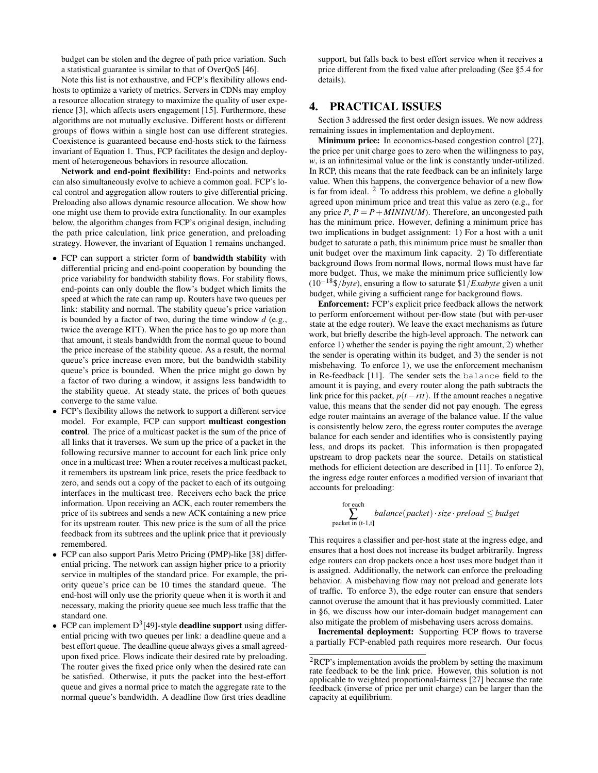budget can be stolen and the degree of path price variation. Such a statistical guarantee is similar to that of OverQoS [46].

Note this list is not exhaustive, and FCP's flexibility allows endhosts to optimize a variety of metrics. Servers in CDNs may employ a resource allocation strategy to maximize the quality of user experience [3], which affects users engagement [15]. Furthermore, these algorithms are not mutually exclusive. Different hosts or different groups of flows within a single host can use different strategies. Coexistence is guaranteed because end-hosts stick to the fairness invariant of Equation 1. Thus, FCP facilitates the design and deployment of heterogeneous behaviors in resource allocation.

Network and end-point flexibility: End-points and networks can also simultaneously evolve to achieve a common goal. FCP's local control and aggregation allow routers to give differential pricing. Preloading also allows dynamic resource allocation. We show how one might use them to provide extra functionality. In our examples below, the algorithm changes from FCP's original design, including the path price calculation, link price generation, and preloading strategy. However, the invariant of Equation 1 remains unchanged.

- *•* FCP can support a stricter form of bandwidth stability with differential pricing and end-point cooperation by bounding the price variability for bandwidth stability flows. For stability flows, end-points can only double the flow's budget which limits the speed at which the rate can ramp up. Routers have two queues per link: stability and normal. The stability queue's price variation is bounded by a factor of two, during the time window *d* (e.g., twice the average RTT). When the price has to go up more than that amount, it steals bandwidth from the normal queue to bound the price increase of the stability queue. As a result, the normal queue's price increase even more, but the bandwidth stability queue's price is bounded. When the price might go down by a factor of two during a window, it assigns less bandwidth to the stability queue. At steady state, the prices of both queues converge to the same value.
- *•* FCP's flexibility allows the network to support a different service model. For example, FCP can support multicast congestion control. The price of a multicast packet is the sum of the price of all links that it traverses. We sum up the price of a packet in the following recursive manner to account for each link price only once in a multicast tree: When a router receives a multicast packet, it remembers its upstream link price, resets the price feedback to zero, and sends out a copy of the packet to each of its outgoing interfaces in the multicast tree. Receivers echo back the price information. Upon receiving an ACK, each router remembers the price of its subtrees and sends a new ACK containing a new price for its upstream router. This new price is the sum of all the price feedback from its subtrees and the uplink price that it previously remembered.
- *•* FCP can also support Paris Metro Pricing (PMP)-like [38] differential pricing. The network can assign higher price to a priority service in multiples of the standard price. For example, the priority queue's price can be 10 times the standard queue. The end-host will only use the priority queue when it is worth it and necessary, making the priority queue see much less traffic that the standard one.
- FCP can implement  $D^3[49]$ -style **deadline support** using differential pricing with two queues per link: a deadline queue and a best effort queue. The deadline queue always gives a small agreedupon fixed price. Flows indicate their desired rate by preloading. The router gives the fixed price only when the desired rate can be satisfied. Otherwise, it puts the packet into the best-effort queue and gives a normal price to match the aggregate rate to the normal queue's bandwidth. A deadline flow first tries deadline

support, but falls back to best effort service when it receives a price different from the fixed value after preloading (See §5.4 for details).

# 4. PRACTICAL ISSUES

Section 3 addressed the first order design issues. We now address remaining issues in implementation and deployment.

Minimum price: In economics-based congestion control [27], the price per unit charge goes to zero when the willingness to pay, *w*, is an infinitesimal value or the link is constantly under-utilized. In RCP, this means that the rate feedback can be an infinitely large value. When this happens, the convergence behavior of a new flow is far from ideal. <sup>2</sup> To address this problem, we define a globally agreed upon minimum price and treat this value as zero (e.g., for any price  $P$ ,  $P = P + MININUM$ ). Therefore, an uncongested path has the minimum price. However, defining a minimum price has two implications in budget assignment: 1) For a host with a unit budget to saturate a path, this minimum price must be smaller than unit budget over the maximum link capacity. 2) To differentiate background flows from normal flows, normal flows must have far more budget. Thus, we make the minimum price sufficiently low  $(10^{-18}\text{N}/b$ *yte*), ensuring a flow to saturate \$1/*Exabyte* given a unit budget, while giving a sufficient range for background flows.

Enforcement: FCP's explicit price feedback allows the network to perform enforcement without per-flow state (but with per-user state at the edge router). We leave the exact mechanisms as future work, but briefly describe the high-level approach. The network can enforce 1) whether the sender is paying the right amount, 2) whether the sender is operating within its budget, and 3) the sender is not misbehaving. To enforce 1), we use the enforcement mechanism in Re-feedback [11]. The sender sets the balance field to the amount it is paying, and every router along the path subtracts the link price for this packet,  $p(t - rtt)$ . If the amount reaches a negative value, this means that the sender did not pay enough. The egress edge router maintains an average of the balance value. If the value is consistently below zero, the egress router computes the average balance for each sender and identifies who is consistently paying less, and drops its packet. This information is then propagated upstream to drop packets near the source. Details on statistical methods for efficient detection are described in [11]. To enforce 2), the ingress edge router enforces a modified version of invariant that accounts for preloading:

for each 
$$
\sum_{\text{packet in } (t-1,t]} \text{balance}(\text{packet}) \cdot \text{size} \cdot \text{preload} \leq \text{budget}
$$

This requires a classifier and per-host state at the ingress edge, and ensures that a host does not increase its budget arbitrarily. Ingress edge routers can drop packets once a host uses more budget than it is assigned. Additionally, the network can enforce the preloading behavior. A misbehaving flow may not preload and generate lots of traffic. To enforce 3), the edge router can ensure that senders cannot overuse the amount that it has previously committed. Later in §6, we discuss how our inter-domain budget management can also mitigate the problem of misbehaving users across domains.

Incremental deployment: Supporting FCP flows to traverse a partially FCP-enabled path requires more research. Our focus

<sup>2</sup>RCP's implementation avoids the problem by setting the maximum rate feedback to be the link price. However, this solution is not applicable to weighted proportional-fairness [27] because the rate feedback (inverse of price per unit charge) can be larger than the capacity at equilibrium.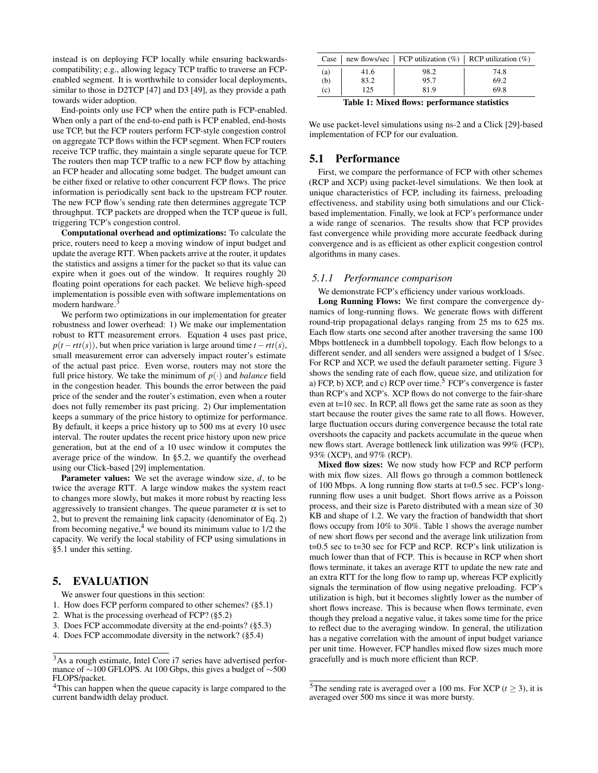instead is on deploying FCP locally while ensuring backwardscompatibility; e.g., allowing legacy TCP traffic to traverse an FCPenabled segment. It is worthwhile to consider local deployments, similar to those in D2TCP [47] and D3 [49], as they provide a path towards wider adoption.

End-points only use FCP when the entire path is FCP-enabled. When only a part of the end-to-end path is FCP enabled, end-hosts use TCP, but the FCP routers perform FCP-style congestion control on aggregate TCP flows within the FCP segment. When FCP routers receive TCP traffic, they maintain a single separate queue for TCP. The routers then map TCP traffic to a new FCP flow by attaching an FCP header and allocating some budget. The budget amount can be either fixed or relative to other concurrent FCP flows. The price information is periodically sent back to the upstream FCP router. The new FCP flow's sending rate then determines aggregate TCP throughput. TCP packets are dropped when the TCP queue is full, triggering TCP's congestion control.

Computational overhead and optimizations: To calculate the price, routers need to keep a moving window of input budget and update the average RTT. When packets arrive at the router, it updates the statistics and assigns a timer for the packet so that its value can expire when it goes out of the window. It requires roughly 20 floating point operations for each packet. We believe high-speed implementation is possible even with software implementations on modern hardware.

We perform two optimizations in our implementation for greater robustness and lower overhead: 1) We make our implementation robust to RTT measurement errors. Equation 4 uses past price,  $p(t - rtt(s))$ , but when price variation is large around time  $t - rtt(s)$ , small measurement error can adversely impact router's estimate of the actual past price. Even worse, routers may not store the full price history. We take the minimum of  $p(\cdot)$  and *balance* field in the congestion header. This bounds the error between the paid price of the sender and the router's estimation, even when a router does not fully remember its past pricing. 2) Our implementation keeps a summary of the price history to optimize for performance. By default, it keeps a price history up to 500 ms at every 10 usec interval. The router updates the recent price history upon new price generation, but at the end of a 10 usec window it computes the average price of the window. In §5.2, we quantify the overhead using our Click-based [29] implementation.

Parameter values: We set the average window size, *d*, to be twice the average RTT. A large window makes the system react to changes more slowly, but makes it more robust by reacting less aggressively to transient changes. The queue parameter  $\alpha$  is set to 2, but to prevent the remaining link capacity (denominator of Eq. 2) from becoming negative, $4$  we bound its minimum value to  $1/2$  the capacity. We verify the local stability of FCP using simulations in §5.1 under this setting.

# 5. EVALUATION

We answer four questions in this section:

- 1. How does FCP perform compared to other schemes? (§5.1)
- 2. What is the processing overhead of FCP? (§5.2)
- 3. Does FCP accommodate diversity at the end-points? (§5.3)
- 4. Does FCP accommodate diversity in the network? (§5.4)

|     |      | Case   new flows/sec   FCP utilization (%)   RCP utilization (%) |      |
|-----|------|------------------------------------------------------------------|------|
| (a) | 41.6 | 98.2                                                             | 74.8 |
| (b) | 83.2 | 95.7                                                             | 69.2 |
| (c) | 125  | 81.9                                                             | 69.8 |

Table 1: Mixed flows: performance statistics

We use packet-level simulations using ns-2 and a Click [29]-based implementation of FCP for our evaluation.

#### 5.1 Performance

First, we compare the performance of FCP with other schemes (RCP and XCP) using packet-level simulations. We then look at unique characteristics of FCP, including its fairness, preloading effectiveness, and stability using both simulations and our Clickbased implementation. Finally, we look at FCP's performance under a wide range of scenarios. The results show that FCP provides fast convergence while providing more accurate feedback during convergence and is as efficient as other explicit congestion control algorithms in many cases.

#### *5.1.1 Performance comparison*

We demonstrate FCP's efficiency under various workloads.

Long Running Flows: We first compare the convergence dynamics of long-running flows. We generate flows with different round-trip propagational delays ranging from 25 ms to 625 ms. Each flow starts one second after another traversing the same 100 Mbps bottleneck in a dumbbell topology. Each flow belongs to a different sender, and all senders were assigned a budget of 1 \$/sec. For RCP and XCP, we used the default parameter setting. Figure 3 shows the sending rate of each flow, queue size, and utilization for a) FCP, b) XCP, and c) RCP over time.<sup>5</sup> FCP's convergence is faster than RCP's and XCP's. XCP flows do not converge to the fair-share even at t=10 sec. In RCP, all flows get the same rate as soon as they start because the router gives the same rate to all flows. However, large fluctuation occurs during convergence because the total rate overshoots the capacity and packets accumulate in the queue when new flows start. Average bottleneck link utilization was 99% (FCP), 93% (XCP), and 97% (RCP).

Mixed flow sizes: We now study how FCP and RCP perform with mix flow sizes. All flows go through a common bottleneck of 100 Mbps. A long running flow starts at t=0.5 sec. FCP's longrunning flow uses a unit budget. Short flows arrive as a Poisson process, and their size is Pareto distributed with a mean size of 30 KB and shape of 1.2. We vary the fraction of bandwidth that short flows occupy from 10% to 30%. Table 1 shows the average number of new short flows per second and the average link utilization from t=0.5 sec to t=30 sec for FCP and RCP. RCP's link utilization is much lower than that of FCP. This is because in RCP when short flows terminate, it takes an average RTT to update the new rate and an extra RTT for the long flow to ramp up, whereas FCP explicitly signals the termination of flow using negative preloading. FCP's utilization is high, but it becomes slightly lower as the number of short flows increase. This is because when flows terminate, even though they preload a negative value, it takes some time for the price to reflect due to the averaging window. In general, the utilization has a negative correlation with the amount of input budget variance per unit time. However, FCP handles mixed flow sizes much more gracefully and is much more efficient than RCP.

<sup>3</sup>As a rough estimate, Intel Core i7 series have advertised performance of  $\sim$ 100 GFLOPS. At 100 Gbps, this gives a budget of  $\sim$ 500 FLOPS/packet.

<sup>&</sup>lt;sup>4</sup>This can happen when the queue capacity is large compared to the current bandwidth delay product.

<sup>&</sup>lt;sup>5</sup>The sending rate is averaged over a 100 ms. For XCP ( $t \ge 3$ ), it is averaged over 500 ms since it was more bursty.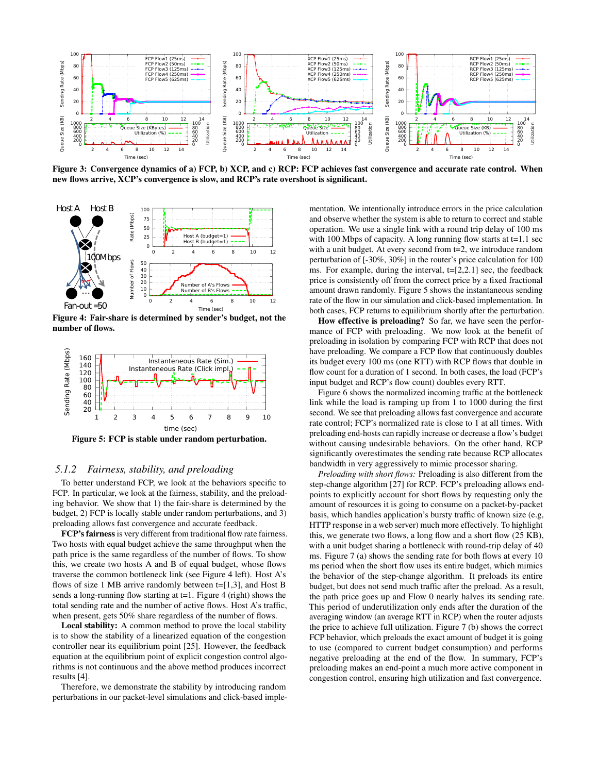

Figure 3: Convergence dynamics of a) FCP, b) XCP, and c) RCP: FCP achieves fast convergence and accurate rate control. When new flows arrive, XCP's convergence is slow, and RCP's rate overshoot is significant.



Figure 4: Fair-share is determined by sender's budget, not the number of flows.



Figure 5: FCP is stable under random perturbation.

### *5.1.2 Fairness, stability, and preloading*

To better understand FCP, we look at the behaviors specific to FCP. In particular, we look at the fairness, stability, and the preloading behavior. We show that 1) the fair-share is determined by the budget, 2) FCP is locally stable under random perturbations, and 3) preloading allows fast convergence and accurate feedback.

FCP's fairness is very different from traditional flow rate fairness. Two hosts with equal budget achieve the same throughput when the path price is the same regardless of the number of flows. To show this, we create two hosts A and B of equal budget, whose flows traverse the common bottleneck link (see Figure 4 left). Host A's flows of size 1 MB arrive randomly between t=[1,3], and Host B sends a long-running flow starting at  $t=1$ . Figure 4 (right) shows the total sending rate and the number of active flows. Host A's traffic, when present, gets 50% share regardless of the number of flows.

Local stability: A common method to prove the local stability is to show the stability of a linearized equation of the congestion controller near its equilibrium point [25]. However, the feedback equation at the equilibrium point of explicit congestion control algorithms is not continuous and the above method produces incorrect results [4].

Therefore, we demonstrate the stability by introducing random perturbations in our packet-level simulations and click-based implementation. We intentionally introduce errors in the price calculation and observe whether the system is able to return to correct and stable operation. We use a single link with a round trip delay of 100 ms with 100 Mbps of capacity. A long running flow starts at t=1.1 sec with a unit budget. At every second from t=2, we introduce random perturbation of [-30%, 30%] in the router's price calculation for 100 ms. For example, during the interval,  $t=[2,2.1]$  sec, the feedback price is consistently off from the correct price by a fixed fractional amount drawn randomly. Figure 5 shows the instantaneous sending rate of the flow in our simulation and click-based implementation. In both cases, FCP returns to equilibrium shortly after the perturbation.

How effective is preloading? So far, we have seen the performance of FCP with preloading. We now look at the benefit of preloading in isolation by comparing FCP with RCP that does not have preloading. We compare a FCP flow that continuously doubles its budget every 100 ms (one RTT) with RCP flows that double in flow count for a duration of 1 second. In both cases, the load (FCP's input budget and RCP's flow count) doubles every RTT.

Figure 6 shows the normalized incoming traffic at the bottleneck link while the load is ramping up from 1 to 1000 during the first second. We see that preloading allows fast convergence and accurate rate control; FCP's normalized rate is close to 1 at all times. With preloading end-hosts can rapidly increase or decrease a flow's budget without causing undesirable behaviors. On the other hand, RCP significantly overestimates the sending rate because RCP allocates bandwidth in very aggressively to mimic processor sharing.

*Preloading with short flows:* Preloading is also different from the step-change algorithm [27] for RCP. FCP's preloading allows endpoints to explicitly account for short flows by requesting only the amount of resources it is going to consume on a packet-by-packet basis, which handles application's bursty traffic of known size (e.g, HTTP response in a web server) much more effectively. To highlight this, we generate two flows, a long flow and a short flow (25 KB), with a unit budget sharing a bottleneck with round-trip delay of 40 ms. Figure 7 (a) shows the sending rate for both flows at every 10 ms period when the short flow uses its entire budget, which mimics the behavior of the step-change algorithm. It preloads its entire budget, but does not send much traffic after the preload. As a result, the path price goes up and Flow 0 nearly halves its sending rate. This period of underutilization only ends after the duration of the averaging window (an average RTT in RCP) when the router adjusts the price to achieve full utilization. Figure 7 (b) shows the correct FCP behavior, which preloads the exact amount of budget it is going to use (compared to current budget consumption) and performs negative preloading at the end of the flow. In summary, FCP's preloading makes an end-point a much more active component in congestion control, ensuring high utilization and fast convergence.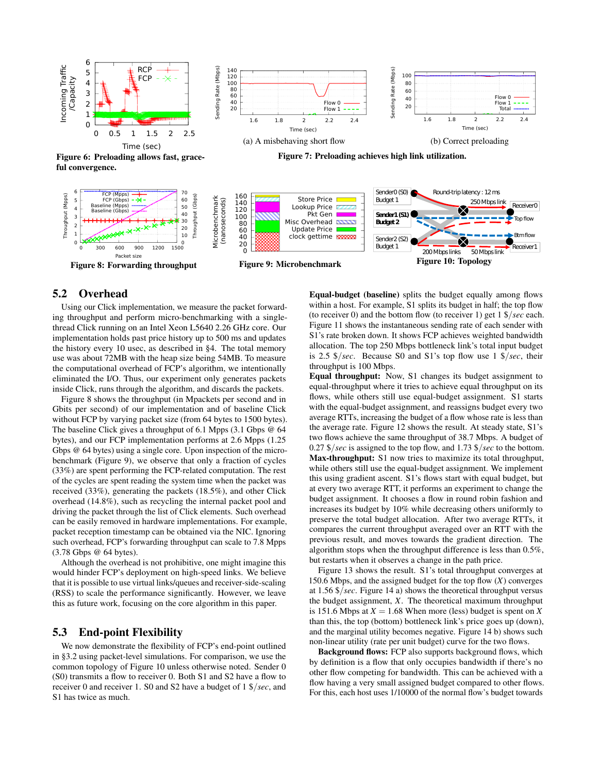



#### 5.2 Overhead

Using our Click implementation, we measure the packet forwarding throughput and perform micro-benchmarking with a singlethread Click running on an Intel Xeon L5640 2.26 GHz core. Our implementation holds past price history up to 500 ms and updates the history every 10 usec, as described in §4. The total memory use was about 72MB with the heap size being 54MB. To measure the computational overhead of FCP's algorithm, we intentionally eliminated the I/O. Thus, our experiment only generates packets inside Click, runs through the algorithm, and discards the packets.

Figure 8 shows the throughput (in Mpackets per second and in Gbits per second) of our implementation and of baseline Click without FCP by varying packet size (from 64 bytes to 1500 bytes). The baseline Click gives a throughput of 6.1 Mpps (3.1 Gbps @ 64 bytes), and our FCP implementation performs at 2.6 Mpps (1.25 Gbps @ 64 bytes) using a single core. Upon inspection of the microbenchmark (Figure 9), we observe that only a fraction of cycles (33%) are spent performing the FCP-related computation. The rest of the cycles are spent reading the system time when the packet was received (33%), generating the packets (18.5%), and other Click overhead (14.8%), such as recycling the internal packet pool and driving the packet through the list of Click elements. Such overhead can be easily removed in hardware implementations. For example, packet reception timestamp can be obtained via the NIC. Ignoring such overhead, FCP's forwarding throughput can scale to 7.8 Mpps (3.78 Gbps @ 64 bytes).

Although the overhead is not prohibitive, one might imagine this would hinder FCP's deployment on high-speed links. We believe that it is possible to use virtual links/queues and receiver-side-scaling (RSS) to scale the performance significantly. However, we leave this as future work, focusing on the core algorithm in this paper.

### 5.3 End-point Flexibility

We now demonstrate the flexibility of FCP's end-point outlined in §3.2 using packet-level simulations. For comparison, we use the common topology of Figure 10 unless otherwise noted. Sender 0 (S0) transmits a flow to receiver 0. Both S1 and S2 have a flow to receiver 0 and receiver 1. S0 and S2 have a budget of 1 \$*/sec*, and S1 has twice as much.

Equal-budget (baseline) splits the budget equally among flows within a host. For example, S1 splits its budget in half; the top flow (to receiver 0) and the bottom flow (to receiver 1) get 1 \$*/sec* each. Figure 11 shows the instantaneous sending rate of each sender with S1's rate broken down. It shows FCP achieves weighted bandwidth allocation. The top 250 Mbps bottleneck link's total input budget is 2.5 \$*/sec*. Because S0 and S1's top flow use 1 \$*/sec*, their throughput is 100 Mbps.

Equal throughput: Now, S1 changes its budget assignment to equal-throughput where it tries to achieve equal throughput on its flows, while others still use equal-budget assignment. S1 starts with the equal-budget assignment, and reassigns budget every two average RTTs, increasing the budget of a flow whose rate is less than the average rate. Figure 12 shows the result. At steady state, S1's two flows achieve the same throughput of 38.7 Mbps. A budget of 0.27 \$*/sec* is assigned to the top flow, and 1.73 \$*/sec* to the bottom. Max-throughput: S1 now tries to maximize its total throughput, while others still use the equal-budget assignment. We implement this using gradient ascent. S1's flows start with equal budget, but at every two average RTT, it performs an experiment to change the budget assignment. It chooses a flow in round robin fashion and increases its budget by 10% while decreasing others uniformly to preserve the total budget allocation. After two average RTTs, it compares the current throughput averaged over an RTT with the previous result, and moves towards the gradient direction. The algorithm stops when the throughput difference is less than 0.5%, but restarts when it observes a change in the path price.

Figure 13 shows the result. S1's total throughput converges at 150.6 Mbps, and the assigned budget for the top flow (*X*) converges at 1.56 \$*/sec*. Figure 14 a) shows the theoretical throughput versus the budget assignment, *X*. The theoretical maximum throughput is 151.6 Mbps at  $X = 1.68$  When more (less) budget is spent on  $X$ than this, the top (bottom) bottleneck link's price goes up (down), and the marginal utility becomes negative. Figure 14 b) shows such non-linear utility (rate per unit budget) curve for the two flows.

Background flows: FCP also supports background flows, which by definition is a flow that only occupies bandwidth if there's no other flow competing for bandwidth. This can be achieved with a flow having a very small assigned budget compared to other flows. For this, each host uses 1/10000 of the normal flow's budget towards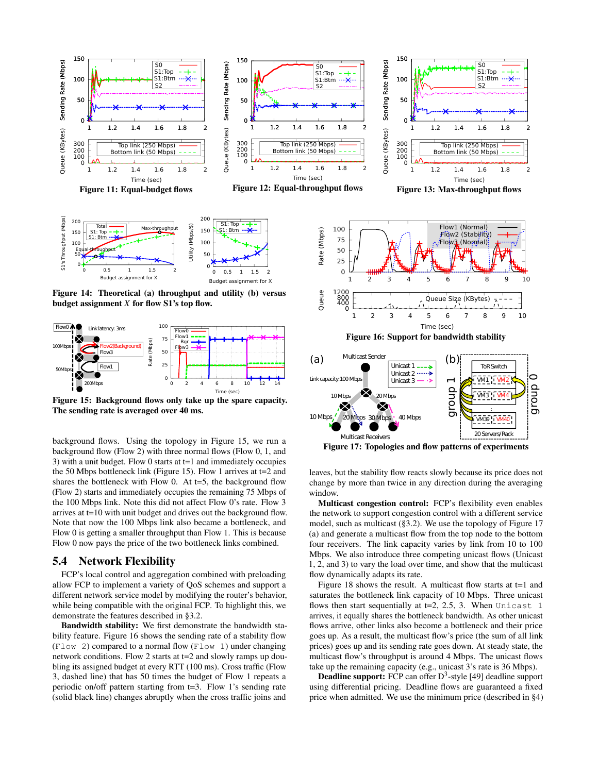



Figure 14: Theoretical (a) throughput and utility (b) versus budget assignment *X* for flow S1's top flow.



Figure 15: Background flows only take up the spare capacity. The sending rate is averaged over 40 ms.

background flows. Using the topology in Figure 15, we run a background flow (Flow 2) with three normal flows (Flow 0, 1, and 3) with a unit budget. Flow 0 starts at  $t=1$  and immediately occupies the 50 Mbps bottleneck link (Figure 15). Flow 1 arrives at t=2 and shares the bottleneck with Flow 0. At t=5, the background flow (Flow 2) starts and immediately occupies the remaining 75 Mbps of the 100 Mbps link. Note this did not affect Flow 0's rate. Flow 3 arrives at t=10 with unit budget and drives out the background flow. Note that now the 100 Mbps link also became a bottleneck, and Flow 0 is getting a smaller throughput than Flow 1. This is because Flow 0 now pays the price of the two bottleneck links combined.

#### 5.4 Network Flexibility

FCP's local control and aggregation combined with preloading allow FCP to implement a variety of QoS schemes and support a different network service model by modifying the router's behavior, while being compatible with the original FCP. To highlight this, we demonstrate the features described in §3.2.

Bandwidth stability: We first demonstrate the bandwidth stability feature. Figure 16 shows the sending rate of a stability flow  $(Flow 2)$  compared to a normal flow  $(Flow 1)$  under changing network conditions. Flow 2 starts at t=2 and slowly ramps up doubling its assigned budget at every RTT (100 ms). Cross traffic (Flow 3, dashed line) that has 50 times the budget of Flow 1 repeats a periodic on/off pattern starting from t=3. Flow 1's sending rate (solid black line) changes abruptly when the cross traffic joins and



 $50$ S1:Top  $S1:$ Btm S<sub>2</sub>

Figure 17: Topologies and flow patterns of experiments

leaves, but the stability flow reacts slowly because its price does not change by more than twice in any direction during the averaging window.

Multicast congestion control: FCP's flexibility even enables the network to support congestion control with a different service model, such as multicast (§3.2). We use the topology of Figure 17 (a) and generate a multicast flow from the top node to the bottom four receivers. The link capacity varies by link from 10 to 100 Mbps. We also introduce three competing unicast flows (Unicast 1, 2, and 3) to vary the load over time, and show that the multicast flow dynamically adapts its rate.

Figure 18 shows the result. A multicast flow starts at t=1 and saturates the bottleneck link capacity of 10 Mbps. Three unicast flows then start sequentially at  $t=2$ , 2.5, 3. When Unicast 1 arrives, it equally shares the bottleneck bandwidth. As other unicast flows arrive, other links also become a bottleneck and their price goes up. As a result, the multicast flow's price (the sum of all link prices) goes up and its sending rate goes down. At steady state, the multicast flow's throughput is around 4 Mbps. The unicast flows take up the remaining capacity (e.g., unicast 3's rate is 36 Mbps).

**Deadline support:** FCP can offer  $D^3$ -style [49] deadline support using differential pricing. Deadline flows are guaranteed a fixed price when admitted. We use the minimum price (described in §4)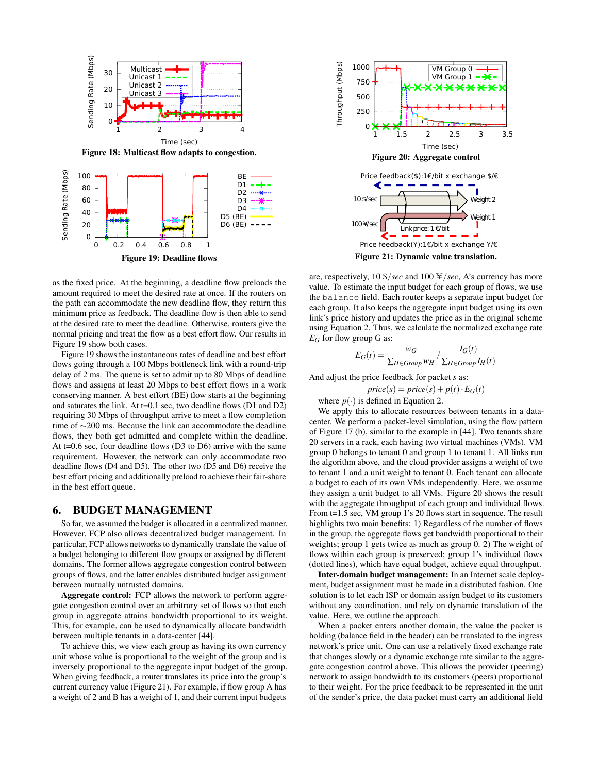



as the fixed price. At the beginning, a deadline flow preloads the amount required to meet the desired rate at once. If the routers on the path can accommodate the new deadline flow, they return this minimum price as feedback. The deadline flow is then able to send at the desired rate to meet the deadline. Otherwise, routers give the normal pricing and treat the flow as a best effort flow. Our results in Figure 19 show both cases.

Figure 19 shows the instantaneous rates of deadline and best effort flows going through a 100 Mbps bottleneck link with a round-trip delay of 2 ms. The queue is set to admit up to 80 Mbps of deadline flows and assigns at least 20 Mbps to best effort flows in a work conserving manner. A best effort (BE) flow starts at the beginning and saturates the link. At t=0.1 sec, two deadline flows (D1 and D2) requiring 30 Mbps of throughput arrive to meet a flow completion time of  $\sim$ 200 ms. Because the link can accommodate the deadline flows, they both get admitted and complete within the deadline. At t=0.6 sec, four deadline flows (D3 to D6) arrive with the same requirement. However, the network can only accommodate two deadline flows (D4 and D5). The other two (D5 and D6) receive the best effort pricing and additionally preload to achieve their fair-share in the best effort queue.

### 6. BUDGET MANAGEMENT

So far, we assumed the budget is allocated in a centralized manner. However, FCP also allows decentralized budget management. In particular, FCP allows networks to dynamically translate the value of a budget belonging to different flow groups or assigned by different domains. The former allows aggregate congestion control between groups of flows, and the latter enables distributed budget assignment between mutually untrusted domains.

Aggregate control: FCP allows the network to perform aggregate congestion control over an arbitrary set of flows so that each group in aggregate attains bandwidth proportional to its weight. This, for example, can be used to dynamically allocate bandwidth between multiple tenants in a data-center [44].

To achieve this, we view each group as having its own currency unit whose value is proportional to the weight of the group and is inversely proportional to the aggregate input budget of the group. When giving feedback, a router translates its price into the group's current currency value (Figure 21). For example, if flow group A has a weight of 2 and B has a weight of 1, and their current input budgets



are, respectively, 10  $\frac{s}{sec}$  and 100  $\frac{V}{sec}$ , A's currency has more value. To estimate the input budget for each group of flows, we use the balance field. Each router keeps a separate input budget for each group. It also keeps the aggregate input budget using its own link's price history and updates the price as in the original scheme using Equation 2. Thus, we calculate the normalized exchange rate *EG* for flow group G as:

$$
E_G(t) = \frac{w_G}{\sum_{H \in Group} w_H} / \frac{I_G(t)}{\sum_{H \in Group} I_H(t)}
$$

And adjust the price feedback for packet *s* as:

$$
price(s) = price(s) + p(t) \cdot E_G(t)
$$

where  $p(\cdot)$  is defined in Equation 2.

We apply this to allocate resources between tenants in a datacenter. We perform a packet-level simulation, using the flow pattern of Figure 17 (b), similar to the example in [44]. Two tenants share 20 servers in a rack, each having two virtual machines (VMs). VM group 0 belongs to tenant 0 and group 1 to tenant 1. All links run the algorithm above, and the cloud provider assigns a weight of two to tenant 1 and a unit weight to tenant 0. Each tenant can allocate a budget to each of its own VMs independently. Here, we assume they assign a unit budget to all VMs. Figure 20 shows the result with the aggregate throughput of each group and individual flows. From t=1.5 sec, VM group 1's 20 flows start in sequence. The result highlights two main benefits: 1) Regardless of the number of flows in the group, the aggregate flows get bandwidth proportional to their weights; group 1 gets twice as much as group 0. 2) The weight of flows within each group is preserved; group 1's individual flows (dotted lines), which have equal budget, achieve equal throughput.

Inter-domain budget management: In an Internet scale deployment, budget assignment must be made in a distributed fashion. One solution is to let each ISP or domain assign budget to its customers without any coordination, and rely on dynamic translation of the value. Here, we outline the approach.

When a packet enters another domain, the value the packet is holding (balance field in the header) can be translated to the ingress network's price unit. One can use a relatively fixed exchange rate that changes slowly or a dynamic exchange rate similar to the aggregate congestion control above. This allows the provider (peering) network to assign bandwidth to its customers (peers) proportional to their weight. For the price feedback to be represented in the unit of the sender's price, the data packet must carry an additional field